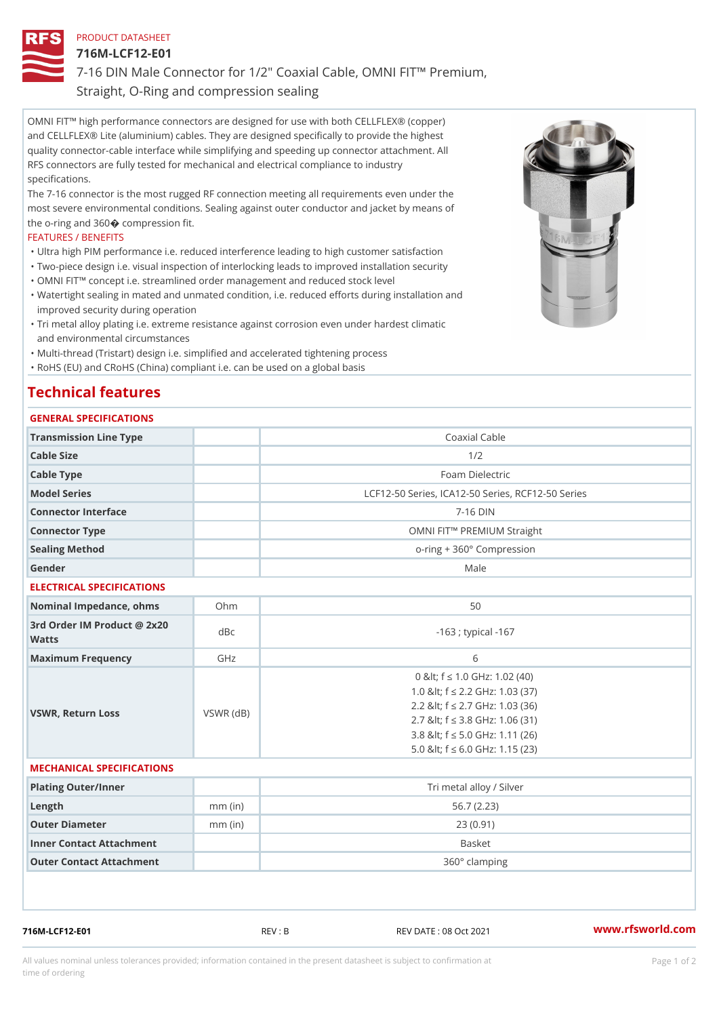## PRODUCT DATASHEET

716M-LCF12-E01

7-16 DIN Male Connector for 1/2" Coaxial Cable, OMNI FIT!" Premium, Straight, O-Ring and compression sealing

OMNI FIT!" high performance connectors are designed for use with both CELLFLEX® (copper) and CELLFLEX® Lite (aluminium) cables. They are designed specifically to provide the highest quality connector-cable interface while simplifying and speeding up connector attachment. All RFS connectors are fully tested for mechanical and electrical compliance to industry specifications.

The 7-16 connector is the most rugged RF connection meeting all requirements even under the most severe environmental conditions. Sealing against outer conductor and jacket by means of the o-ring and 360ÿý compression fit.

#### FEATURES / BENEFITS

"Ultra high PIM performance i.e. reduced interference leading to high customer satisfaction

- "Two-piece design i.e. visual inspection of interlocking leads to improved installation security "OMNI FIT!" concept i.e. streamlined order management and reduced stock level
- Watertight sealing in mated and unmated condition, i.e. reduced efforts during installation and " improved security during operation
- Tri metal alloy plating i.e. extreme resistance against corrosion even under hardest climatic " and environmental circumstances
- "Multi-thread (Tristart) design i.e. simplified and accelerated tightening process

"RoHS (EU) and CRoHS (China) compliant i.e. can be used on a global basis

# Technical features

## GENERAL SPECIFICATIONS

| Transmission Line Type | Coaxial Cable                                    |  |
|------------------------|--------------------------------------------------|--|
| Cable Size             | 1/2                                              |  |
| Cable Type             | Foam Dielectric                                  |  |
| Model Series           | LCF12-50 Series, ICA12-50 Series, RCF12-50 Serie |  |
| Connector Interface    | $7 - 16$ DIN                                     |  |
| Connector Type         | OMNI FIT!" PREMIUM Straight                      |  |
| Sealing Method         | $o$ -ring + $360^\circ$ Compression              |  |
| Gender                 | Male                                             |  |

#### ELECTRICAL SPECIFICATIONS

| Nominal Impedance, ohins Ohm             |           | 50                                                                                                                                                                                                                         |
|------------------------------------------|-----------|----------------------------------------------------------------------------------------------------------------------------------------------------------------------------------------------------------------------------|
| 3rd Order IM Product @ 2x20 dBc<br>Watts |           | $-163$ ; typical $-167$                                                                                                                                                                                                    |
| Maximum Frequency                        | GHz       | 6                                                                                                                                                                                                                          |
| VSWR, Return Loss                        | VSWR (dB) | 0 & It; f "d 1.0 G H z: 1.02 (40)<br>1.0 & It; f "d 2.2 GHz: 1.03 (37)<br>2.2 & It; f "d 2.7 GHz: 1.03 (36)<br>2.7 & It; f "d 3.8 GHz: 1.06 (31)<br>3.8 & It; f "d 5.0 GHz: 1.11 (26)<br>5.0 & It: f "d 6.0 GHz: 1.15 (23) |

#### MECHANICAL SPECIFICATIONS

| Plating Outer/Inner      |           | Tri metal alloy / Silver |
|--------------------------|-----------|--------------------------|
|                          |           |                          |
| $L$ ength                | $mm$ (in) | 56.7 (2.23)              |
| Outer Diameter           | $mm$ (in) | 23(0.91)                 |
| Inner Contact Attachment |           | Basket                   |
| Outer Contact Attachment |           | 360° clamping            |

716M-LCF12-E01 REV : B REV DATE : 08 Oct 2021 [www.](https://www.rfsworld.com)rfsworld.com